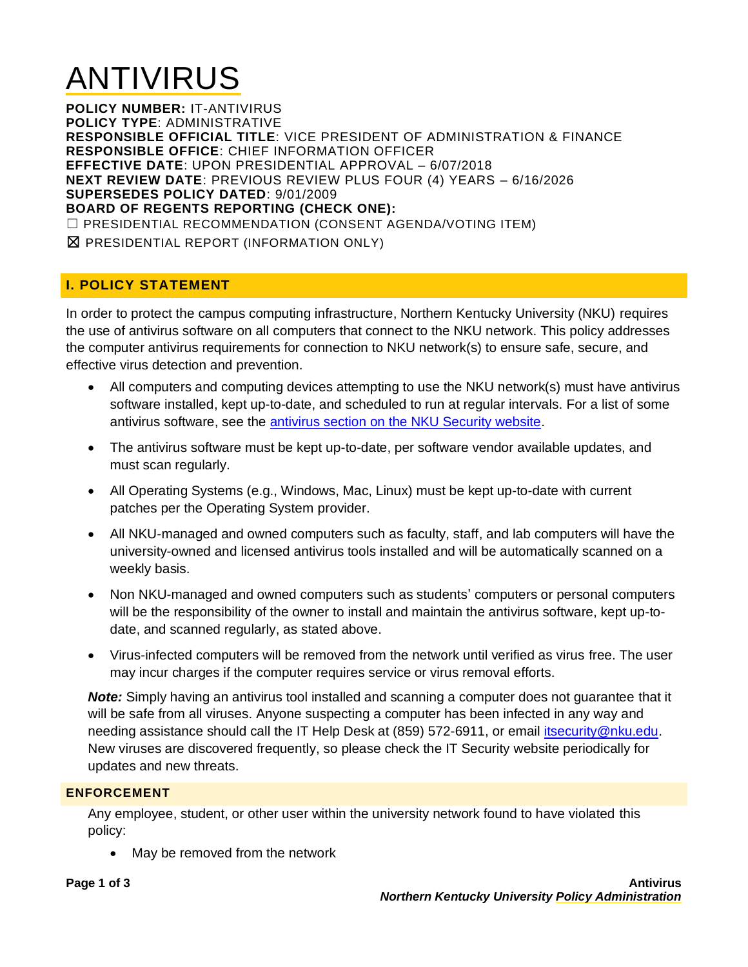# ANTIVIRUS

**POLICY NUMBER:** IT-ANTIVIRUS **POLICY TYPE**: ADMINISTRATIVE **RESPONSIBLE OFFICIAL TITLE**: VICE PRESIDENT OF ADMINISTRATION & FINANCE **RESPONSIBLE OFFICE**: CHIEF INFORMATION OFFICER **EFFECTIVE DATE**: UPON PRESIDENTIAL APPROVAL – 6/07/2018 **NEXT REVIEW DATE**: PREVIOUS REVIEW PLUS FOUR (4) YEARS – 6/16/2026 **SUPERSEDES POLICY DATED**: 9/01/2009 **BOARD OF REGENTS REPORTING (CHECK ONE):** ☐ PRESIDENTIAL RECOMMENDATION (CONSENT AGENDA/VOTING ITEM) ☒ PRESIDENTIAL REPORT (INFORMATION ONLY)

# **I. POLICY STATEMENT**

In order to protect the campus computing infrastructure, Northern Kentucky University (NKU) requires the use of antivirus software on all computers that connect to the NKU network. This policy addresses the computer antivirus requirements for connection to NKU network(s) to ensure safe, secure, and effective virus detection and prevention.

- All computers and computing devices attempting to use the NKU network(s) must have antivirus software installed, kept up-to-date, and scheduled to run at regular intervals. For a list of some antivirus software, see the [antivirus section on the NKU Security website.](https://inside.nku.edu/it/security/anti-virus-software.html)
- The antivirus software must be kept up-to-date, per software vendor available updates, and must scan regularly.
- All Operating Systems (e.g., Windows, Mac, Linux) must be kept up-to-date with current patches per the Operating System provider.
- All NKU-managed and owned computers such as faculty, staff, and lab computers will have the university-owned and licensed antivirus tools installed and will be automatically scanned on a weekly basis.
- Non NKU-managed and owned computers such as students' computers or personal computers will be the responsibility of the owner to install and maintain the antivirus software, kept up-todate, and scanned regularly, as stated above.
- Virus-infected computers will be removed from the network until verified as virus free. The user may incur charges if the computer requires service or virus removal efforts.

*Note:* Simply having an antivirus tool installed and scanning a computer does not guarantee that it will be safe from all viruses. Anyone suspecting a computer has been infected in any way and needing assistance should call the IT Help Desk at (859) 572-6911, or email [itsecurity@nku.edu.](mailto:itsecurity@nku.edu) New viruses are discovered frequently, so please check the IT Security website periodically for updates and new threats.

### **ENFORCEMENT**

Any employee, student, or other user within the university network found to have violated this policy:

• May be removed from the network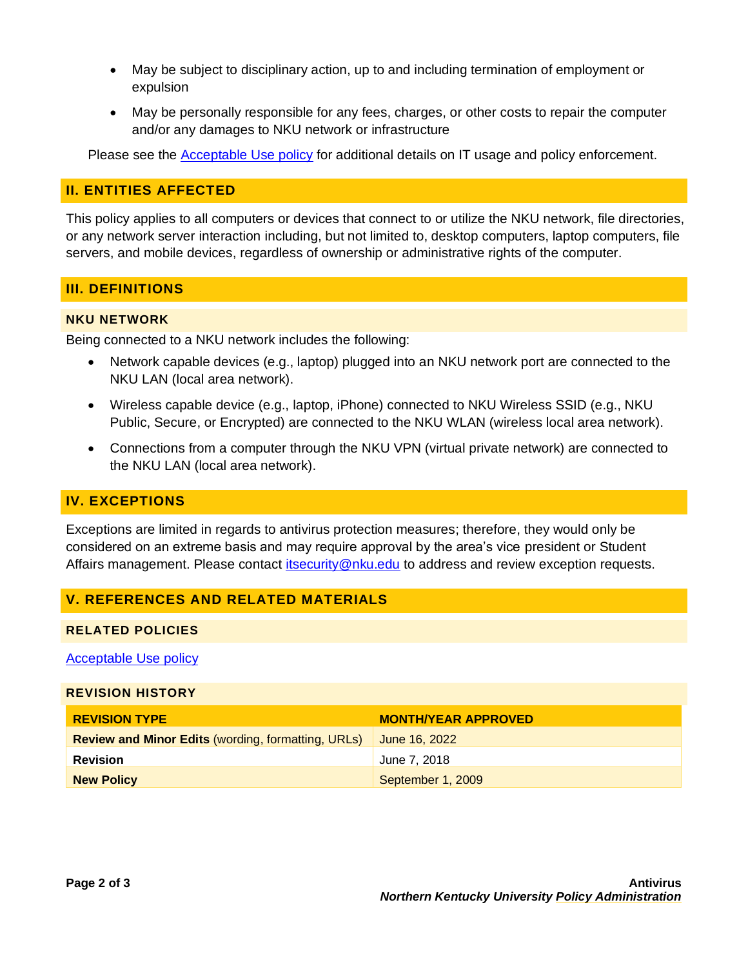- May be subject to disciplinary action, up to and including termination of employment or expulsion
- May be personally responsible for any fees, charges, or other costs to repair the computer and/or any damages to NKU network or infrastructure

Please see the [Acceptable Use policy](https://inside.nku.edu/content/dam/policy/docs/Policies/AcceptableUse.pdf) for additional details on IT usage and policy enforcement.

### **II. ENTITIES AFFECTED**

This policy applies to all computers or devices that connect to or utilize the NKU network, file directories, or any network server interaction including, but not limited to, desktop computers, laptop computers, file servers, and mobile devices, regardless of ownership or administrative rights of the computer.

### **III. DEFINITIONS**

#### **NKU NETWORK**

Being connected to a NKU network includes the following:

- Network capable devices (e.g., laptop) plugged into an NKU network port are connected to the NKU LAN (local area network).
- Wireless capable device (e.g., laptop, iPhone) connected to NKU Wireless SSID (e.g., NKU Public, Secure, or Encrypted) are connected to the NKU WLAN (wireless local area network).
- Connections from a computer through the NKU VPN (virtual private network) are connected to the NKU LAN (local area network).

## **IV. EXCEPTIONS**

Exceptions are limited in regards to antivirus protection measures; therefore, they would only be considered on an extreme basis and may require approval by the area's vice president or Student Affairs management. Please contact [itsecurity@nku.edu](mailto:itsecurity@nku.edu) to address and review exception requests.

### **V. REFERENCES AND RELATED MATERIALS**

#### **RELATED POLICIES**

#### [Acceptable Use policy](https://inside.nku.edu/content/dam/policy/docs/Policies/AcceptableUse.pdf)

#### **REVISION HISTORY**

| <b>REVISION TYPE</b>                                      | <b>MONTH/YEAR APPROVED</b> |
|-----------------------------------------------------------|----------------------------|
| <b>Review and Minor Edits (wording, formatting, URLs)</b> | June 16, 2022              |
| <b>Revision</b>                                           | June 7, 2018               |
| <b>New Policy</b>                                         | September 1, 2009          |